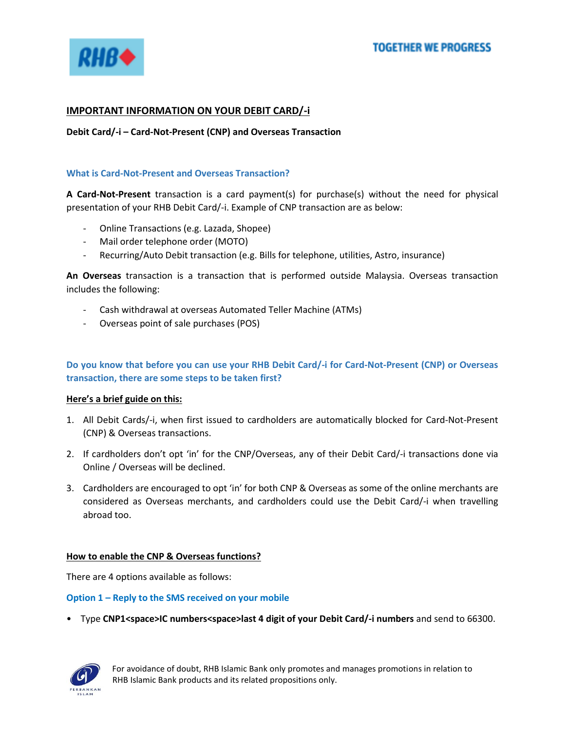

# **IMPORTANT INFORMATION ON YOUR DEBIT CARD/-i**

**Debit Card/-i – Card-Not-Present (CNP) and Overseas Transaction**

## **What is Card-Not-Present and Overseas Transaction?**

**A Card-Not-Present** transaction is a card payment(s) for purchase(s) without the need for physical presentation of your RHB Debit Card/-i. Example of CNP transaction are as below:

- Online Transactions (e.g. Lazada, Shopee)
- Mail order telephone order (MOTO)
- Recurring/Auto Debit transaction (e.g. Bills for telephone, utilities, Astro, insurance)

**An Overseas** transaction is a transaction that is performed outside Malaysia. Overseas transaction includes the following:

- Cash withdrawal at overseas Automated Teller Machine (ATMs)
- Overseas point of sale purchases (POS)

# **Do you know that before you can use your RHB Debit Card/-i for Card-Not-Present (CNP) or Overseas transaction, there are some steps to be taken first?**

## **Here's a brief guide on this:**

- 1. All Debit Cards/-i, when first issued to cardholders are automatically blocked for Card-Not-Present (CNP) & Overseas transactions.
- 2. If cardholders don't opt 'in' for the CNP/Overseas, any of their Debit Card/-i transactions done via Online / Overseas will be declined.
- 3. Cardholders are encouraged to opt 'in' for both CNP & Overseas as some of the online merchants are considered as Overseas merchants, and cardholders could use the Debit Card/-i when travelling abroad too.

## **How to enable the CNP & Overseas functions?**

There are 4 options available as follows:

#### **Option 1 – Reply to the SMS received on your mobile**

• Type **CNP1<space>IC numbers<space>last 4 digit of your Debit Card/-i numbers** and send to 66300.